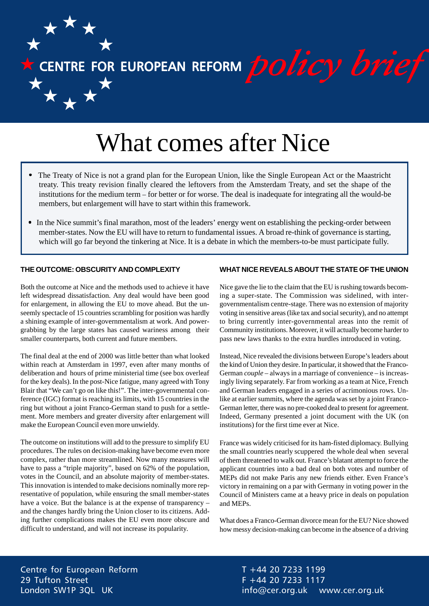$\star$  CENTRE FOR EUROPEAN REFORM  $policy$  brief

# What comes after Nice

- The Treaty of Nice is not a grand plan for the European Union, like the Single European Act or the Maastricht treaty. This treaty revision finally cleared the leftovers from the Amsterdam Treaty, and set the shape of the institutions for the medium term – for better or for worse. The deal is inadequate for integrating all the would-be members, but enlargement will have to start within this framework.
- In the Nice summit's final marathon, most of the leaders' energy went on establishing the pecking-order between member-states. Now the EU will have to return to fundamental issues. A broad re-think of governance is starting, which will go far beyond the tinkering at Nice. It is a debate in which the members-to-be must participate fully.

#### **THE OUTCOME: OBSCURITY AND COMPLEXITY**

Both the outcome at Nice and the methods used to achieve it have left widespread dissatisfaction. Any deal would have been good for enlargement, in allowing the EU to move ahead. But the unseemly spectacle of 15 countries scrambling for position was hardly a shining example of inter-governmentalism at work. And powergrabbing by the large states has caused wariness among their smaller counterparts, both current and future members.

The final deal at the end of 2000 was little better than what looked within reach at Amsterdam in 1997, even after many months of deliberation and hours of prime ministerial time (see box overleaf for the key deals). In the post-Nice fatigue, many agreed with Tony Blair that "We can't go on like this!". The inter-governmental conference (IGC) format is reaching its limits, with 15 countries in the ring but without a joint Franco-German stand to push for a settlement. More members and greater diversity after enlargement will make the European Council even more unwieldy.

The outcome on institutions will add to the pressure to simplify EU procedures. The rules on decision-making have become even more complex, rather than more streamlined. Now many measures will have to pass a "triple majority", based on 62% of the population, votes in the Council, and an absolute majority of member-states. This innovation is intended to make decisions nominally more representative of population, while ensuring the small member-states have a voice. But the balance is at the expense of transparency – and the changes hardly bring the Union closer to its citizens. Adding further complications makes the EU even more obscure and difficult to understand, and will not increase its popularity.

### **WHAT NICE REVEALS ABOUT THE STATE OF THE UNION**

Nice gave the lie to the claim that the EU is rushing towards becoming a super-state. The Commission was sidelined, with intergovernmentalism centre-stage. There was no extension of majority voting in sensitive areas (like tax and social security), and no attempt to bring currently inter-governmental areas into the remit of Community institutions. Moreover, it will actually become harder to pass new laws thanks to the extra hurdles introduced in voting.

Instead, Nice revealed the divisions between Europe's leaders about the kind of Union they desire. In particular, it showed that the Franco-German *couple* – always in a marriage of convenience – is increasingly living separately. Far from working as a team at Nice, French and German leaders engaged in a series of acrimonious rows. Unlike at earlier summits, where the agenda was set by a joint Franco-German letter, there was no pre-cooked deal to present for agreement. Indeed, Germany presented a joint document with the UK (on institutions) for the first time ever at Nice.

France was widely criticised for its ham-fisted diplomacy. Bullying the small countries nearly scuppered the whole deal when several of them threatened to walk out. France's blatant attempt to force the applicant countries into a bad deal on both votes and number of MEPs did not make Paris any new friends either. Even France's victory in remaining on a par with Germany in voting power in the Council of Ministers came at a heavy price in deals on population and MEPs.

What does a Franco-German divorce mean for the EU? Nice showed how messy decision-making can become in the absence of a driving

Centre for European Reform 29 Tufton Street London SW1P 3QL UK

T +44 20 7233 1199 F +44 20 7233 1117 info@cer.org.uk www.cer.org.uk